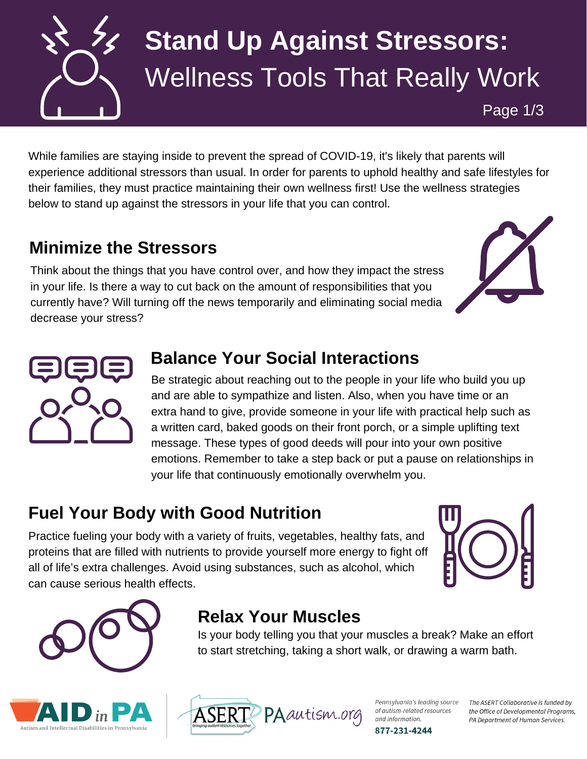

# **Stand Up Against Stressors:** Wellness Tools That Really Work

Page 1/3

While families are staying inside to prevent the spread of COVID-19, it's likely that parents will experience additional stressors than usual. In order for parents to uphold healthy and safe lifestyles for their families, they must practice maintaining their own wellness first! Use the wellness strategies below to stand up against the stressors in your life that you can control.

### **Minimize the Stressors**

Think about the things that you have control over, and how they impact the stress in your life. Is there a way to cut back on the amount of responsibilities that you currently have? Will turning off the news temporarily and eliminating social media decrease your stress?





#### **Balance Your Social Interactions**

Be strategic about reaching out to the people in your life who build you up and are able to sympathize and listen. Also, when you have time or an extra hand to give, provide someone in your life with practical help such as a written card, baked goods on their front porch, or a simple uplifting text message. These types of good deeds will pour into your own positive emotions. Remember to take a step back or put a pause on relationships in your life that continuously emotionally overwhelm you.

## **Fuel Your Body with Good Nutrition**

Practice fueling your body with a variety of fruits, vegetables, healthy fats, and proteins that are filled with nutrients to provide yourself more energy to fight off all of life's extra challenges. Avoid using substances, such as alcohol, which can cause serious health effects.







### **Relax Your Muscles**

Is your body telling you that your muscles a break? Make an effort to start stretching, taking a short walk, or drawing a warm bath.



Pennsylvania's leading source of autism-related resources and information. 877-231-4244

The ASERT Collaborative is funded by the Office of Developmental Programs, PA Department of Human Services.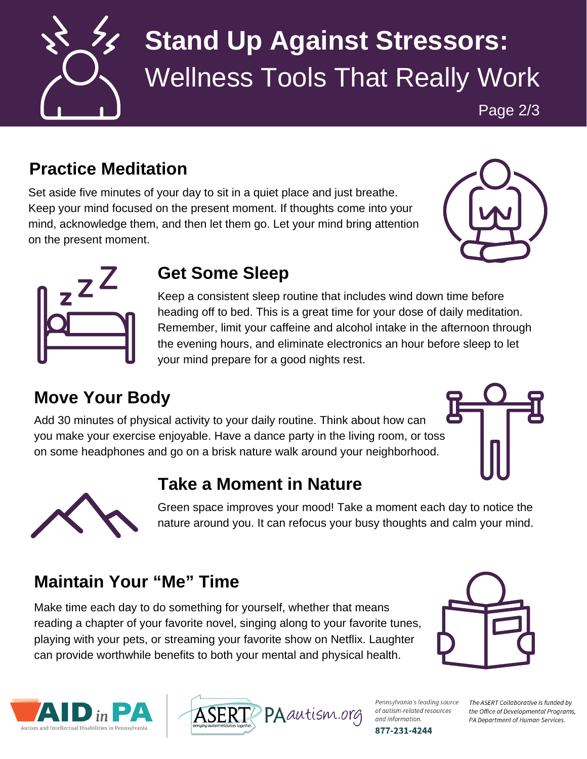

# **Stand Up Against Stressors:** Wellness Tools That Really Work

Page 2/3

#### **Practice Meditation**

Set aside five minutes of your day to sit in a quiet place and just breathe. Keep your mind focused on the present moment. If thoughts come into your mind, acknowledge them, and then let them go. Let your mind bring attention on the present moment.





#### **Get Some Sleep**

Keep a consistent sleep routine that includes wind down time before heading off to bed. This is a great time for your dose of daily meditation. Remember, limit your caffeine and alcohol intake in the afternoon through the evening hours, and eliminate electronics an hour before sleep to let your mind prepare for a good nights rest.

### **Move Your Body**

Add 30 minutes of physical activity to your daily routine. Think about how can you make your exercise enjoyable. Have a dance party in the living room, or toss on some headphones and go on a brisk nature walk around your neighborhood.





**Take a Moment in Nature**

Green space improves your mood! Take a moment each day to notice the nature around you. It can refocus your busy thoughts and calm your mind.

#### **Maintain Your "Me" Time**

Make time each day to do something for yourself, whether that means reading a chapter of your favorite novel, singing along to your favorite tunes, playing with your pets, or streaming your favorite show on Netflix. Laughter can provide worthwhile benefits to both your mental and physical health.







Pennsylvania's leading source of autism-related resources and information. 877-231-4244

The ASERT Collaborative is funded by the Office of Developmental Programs, PA Department of Human Services.